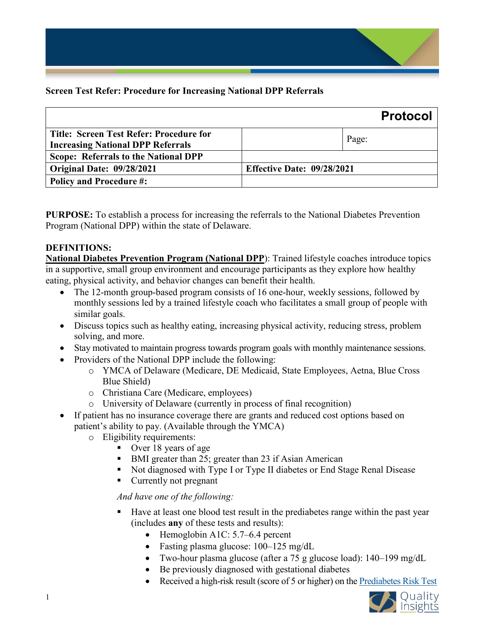

|                                                                                            | <b>Protocol</b>                   |  |
|--------------------------------------------------------------------------------------------|-----------------------------------|--|
| <b>Title: Screen Test Refer: Procedure for</b><br><b>Increasing National DPP Referrals</b> | Page:                             |  |
| Scope: Referrals to the National DPP                                                       |                                   |  |
| Original Date: 09/28/2021                                                                  | <b>Effective Date: 09/28/2021</b> |  |
| <b>Policy and Procedure #:</b>                                                             |                                   |  |

**PURPOSE:** To establish a process for increasing the referrals to the National Diabetes Prevention Program (National DPP) within the state of Delaware.

## **DEFINITIONS:**

**National Diabetes Prevention Program (National DPP**): Trained lifestyle coaches introduce topics in a supportive, small group environment and encourage participants as they explore how healthy eating, physical activity, and behavior changes can benefit their health.

- The 12-month group-based program consists of 16 one-hour, weekly sessions, followed by monthly sessions led by a trained lifestyle coach who facilitates a small group of people with similar goals.
- Discuss topics such as healthy eating, increasing physical activity, reducing stress, problem solving, and more.
- Stay motivated to maintain progress towards program goals with monthly maintenance sessions.
- Providers of the National DPP include the following:
	- o YMCA of Delaware (Medicare, DE Medicaid, State Employees, Aetna, Blue Cross Blue Shield)
	- o Christiana Care (Medicare, employees)
	- o University of Delaware (currently in process of final recognition)
- If patient has no insurance coverage there are grants and reduced cost options based on patient's ability to pay. (Available through the YMCA)
	- o Eligibility requirements:
		- Over 18 years of age
		- BMI greater than 25; greater than 23 if Asian American
		- Not diagnosed with Type I or Type II diabetes or End Stage Renal Disease
		- Currently not pregnant

## *And have one of the following:*

- Have at least one blood test result in the prediabetes range within the past year (includes **any** of these tests and results):
	- Hemoglobin A1C: 5.7–6.4 percent
	- Fasting plasma glucose: 100–125 mg/dL
	- Two-hour plasma glucose (after a 75 g glucose load): 140–199 mg/dL
	- Be previously diagnosed with gestational diabetes
	- Received a high-risk result (score of 5 or higher) on the [Prediabetes Risk Test](https://www.cdc.gov/prediabetes/risktest/index.html)

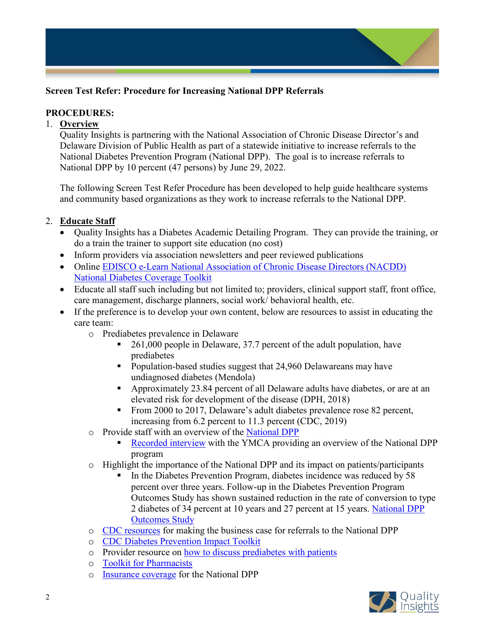

## **PROCEDURES:**

#### 1. **Overview**

Quality Insights is partnering with the National Association of Chronic Disease Director's and Delaware Division of Public Health as part of a statewide initiative to increase referrals to the National Diabetes Prevention Program (National DPP). The goal is to increase referrals to National DPP by 10 percent (47 persons) by June 29, 2022.

The following Screen Test Refer Procedure has been developed to help guide healthcare systems and community based organizations as they work to increase referrals to the National DPP.

# 2. **Educate Staff**

- Quality Insights has a Diabetes Academic Detailing Program. They can provide the training, or do a train the trainer to support site education (no cost)
- Inform providers via association newsletters and peer reviewed publications
- Online [EDISCO e-Learn National Association of Chronic Disease](https://www.ediscolearn.com/pages/42/delaware-public-health-series-home) Directors (NACDD) [National Diabetes Coverage Toolkit](https://www.ediscolearn.com/pages/42/delaware-public-health-series-home)
- Educate all staff such including but not limited to; providers, clinical support staff, front office, care management, discharge planners, social work/ behavioral health, etc.
- If the preference is to develop your own content, below are resources to assist in educating the care team:
	- o Prediabetes prevalence in Delaware
		- 261,000 people in Delaware, 37.7 percent of the adult population, have prediabetes
		- **Population-based studies suggest that 24,960 Delawareans may have** undiagnosed diabetes (Mendola)
		- Approximately 23.84 percent of all Delaware adults have diabetes, or are at an elevated risk for development of the disease (DPH, 2018)
		- From 2000 to 2017, Delaware's adult diabetes prevalence rose 82 percent, increasing from 6.2 percent to 11.3 percent (CDC, 2019)
	- o Provide staff with an overview of the [National DPP](https://www.cdc.gov/diabetes/prevention/about.htm)
		- [Recorded interview](https://improve.qualityinsights.org/Projects/DE-Hypertension-and-Diabetes/Resources.aspx) with the YMCA providing an overview of the National DPP program
	- $\circ$  Highlight the importance of the National DPP and its impact on patients/participants
		- In the Diabetes Prevention Program, diabetes incidence was reduced by 58 percent over three years. Follow-up in the Diabetes Prevention Program Outcomes Study has shown sustained reduction in the rate of conversion to type 2 diabetes of 34 percent at 10 years and 27 percent at 15 years. [National DPP](https://www.ncbi.nlm.nih.gov/pmc/articles/PMC3135022/)  [Outcomes Study](https://www.ncbi.nlm.nih.gov/pmc/articles/PMC3135022/)
	- o [CDC resources](https://www.cdc.gov/diabetes/prevention/benefits-costs.htm) for making the business case for referrals to the National DPP
	- o [CDC Diabetes Prevention Impact Toolkit](https://nccd.cdc.gov/toolkit/diabetesimpact)
	- o Provider resource on [how to discuss prediabetes with patients](https://www.niddk.nih.gov/health-information/professionals/clinical-tools-patient-management/diabetes/game-plan-preventing-type-2-diabetes/how-talk-patients-about-prediabetes-diagnosis)
	- o [Toolkit for Pharmacists](https://www.cdc.gov/diabetes/prevention/pharmacist/action-guide.html)
	- o [Insurance coverage](https://coveragetoolkit.org/participating-payers/) for the National DPP

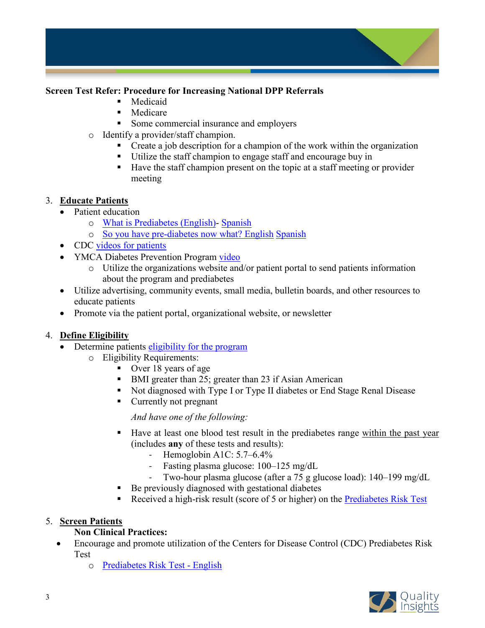

- **Medicaid** 
	- **Medicare**
	- Some commercial insurance and employers
- o Identify a provider/staff champion.
	- Create a job description for a champion of the work within the organization
	- Utilize the staff champion to engage staff and encourage buy in
	- Have the staff champion present on the topic at a staff meeting or provider meeting

## 3. **Educate Patients**

- Patient education
	- o [What is Prediabetes \(English\)-](https://amapreventdiabetes.org/sites/default/files/uploaded-files/amapreventdiabetes%20Patient-facing%20-%20What%20Is%20Prediabetes.pdf) [Spanish](https://amapreventdiabetes.org/sites/default/files/uploaded-files/Spanish_What-is-prediabetes.pdf)
	- o [So you have pre-diabetes now what? English](https://amapreventdiabetes.org/sites/default/files/uploaded-files/amapreventdiabetes%20Patient-facing%20-%20So%20You%20Have%20Prediabetes%2C%20Now%20What.pdf) [Spanish](https://amapreventdiabetes.org/sites/default/files/uploaded-files/Spanish_So-you-have-prediabetes.pdf)
- CDC [videos for patients](https://www.cdc.gov/diabetes/library/socialmedia/podcasts.html)
- YMCA Diabetes Prevention Program [video](https://www.youtube.com/watch?app=desktop&v=5rucsy-HHT0&feature=youtu.be)
	- o Utilize the organizations website and/or patient portal to send patients information about the program and prediabetes
- Utilize advertising, community events, small media, bulletin boards, and other resources to educate patients
- Promote via the patient portal, organizational website, or newsletter

## 4. **Define Eligibility**

- Determine patients [eligibility for the program](https://www.cdc.gov/diabetes/prevention/program-eligibility.html)
	- o Eligibility Requirements:
		- Over 18 years of age
		- BMI greater than 25; greater than 23 if Asian American
		- Not diagnosed with Type I or Type II diabetes or End Stage Renal Disease
		- Currently not pregnant

*And have one of the following:*

- Have at least one blood test result in the prediabetes range within the past year (includes **any** of these tests and results):
	- Hemoglobin A1C: 5.7–6.4%
	- Fasting plasma glucose: 100–125 mg/dL
	- Two-hour plasma glucose (after a 75 g glucose load): 140–199 mg/dL
- Be previously diagnosed with gestational diabetes
- Received a high-risk result (score of 5 or higher) on the [Prediabetes Risk Test](https://www.cdc.gov/prediabetes/risktest/index.html)

## 5. **Screen Patients**

# **Non Clinical Practices:**

- Encourage and promote utilization of the Centers for Disease Control (CDC) Prediabetes Risk Test
	- o [Prediabetes Risk Test -](https://www.cdc.gov/diabetes/prevention/pdf/Prediabetes-Risk-Test-Final.pdf) English

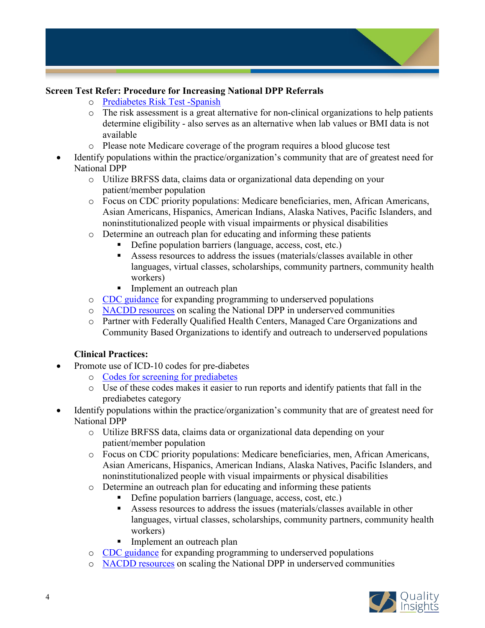

- o [Prediabetes Risk Test -Spanish](https://www.cdc.gov/diabetes/spanish/prevention/pdfs/Prediabetes-Risk-Test-Spanish-Final-H.pdf)
- $\circ$  The risk assessment is a great alternative for non-clinical organizations to help patients determine eligibility - also serves as an alternative when lab values or BMI data is not available
- o Please note Medicare coverage of the program requires a blood glucose test
- Identify populations within the practice/organization's community that are of greatest need for National DPP
	- o Utilize BRFSS data, claims data or organizational data depending on your patient/member population
	- o Focus on CDC priority populations: Medicare beneficiaries, men, African Americans, Asian Americans, Hispanics, American Indians, Alaska Natives, Pacific Islanders, and noninstitutionalized people with visual impairments or physical disabilities
	- o Determine an outreach plan for educating and informing these patients
		- Define population barriers (language, access, cost, etc.)
		- Assess resources to address the issues (materials/classes available in other languages, virtual classes, scholarships, community partners, community health workers)
		- Implement an outreach plan
	- o [CDC guidance](https://www.cdc.gov/diabetes/programs/stateandlocal/funded-programs/dp17-1705.html) for expanding programming to underserved populations
	- o [NACDD resources](https://chronicdisease.org/page/diabetes/scaling-the-national-dpp-in-underserved-areas/) on scaling the National DPP in underserved communities
	- o Partner with Federally Qualified Health Centers, Managed Care Organizations and Community Based Organizations to identify and outreach to underserved populations

## **Clinical Practices:**

- Promote use of ICD-10 codes for pre-diabetes
	- o [Codes for screening for prediabetes](https://amapreventdiabetes.org/sites/default/files/uploaded-files/18-302297IHO%20STAT%202.0%20ICD%20and%20CPT%20Codes.pdf)
	- o Use of these codes makes it easier to run reports and identify patients that fall in the prediabetes category
- Identify populations within the practice/organization's community that are of greatest need for National DPP
	- o Utilize BRFSS data, claims data or organizational data depending on your patient/member population
	- o Focus on CDC priority populations: Medicare beneficiaries, men, African Americans, Asian Americans, Hispanics, American Indians, Alaska Natives, Pacific Islanders, and noninstitutionalized people with visual impairments or physical disabilities
	- o Determine an outreach plan for educating and informing these patients
		- Define population barriers (language, access, cost, etc.)
		- Assess resources to address the issues (materials/classes available in other languages, virtual classes, scholarships, community partners, community health workers)
		- Implement an outreach plan
	- o [CDC guidance](https://www.cdc.gov/diabetes/programs/stateandlocal/funded-programs/dp17-1705.html) for expanding programming to underserved populations
	- o [NACDD resources](https://chronicdisease.org/page/diabetes/scaling-the-national-dpp-in-underserved-areas/) on scaling the National DPP in underserved communities

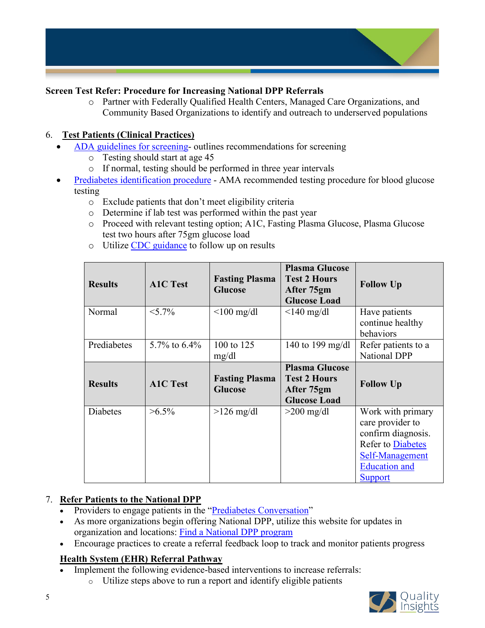

o Partner with Federally Qualified Health Centers, Managed Care Organizations, and Community Based Organizations to identify and outreach to underserved populations

# 6. **Test Patients (Clinical Practices)**

- [ADA guidelines for screening-](https://care.diabetesjournals.org/content/42/Supplement_1/S13) outlines recommendations for screening
	- o Testing should start at age 45
	- o If normal, testing should be performed in three year intervals
	- [Prediabetes identification procedure](https://amapreventdiabetes.org/sites/default/files/uploaded-files/Prediabetes-ID-Mgmt-tool.pdf) AMA recommended testing procedure for blood glucose testing
		- o Exclude patients that don't meet eligibility criteria
		- o Determine if lab test was performed within the past year
		- o Proceed with relevant testing option; A1C, Fasting Plasma Glucose, Plasma Glucose test two hours after 75gm glucose load
		- o Utilize [CDC guidance](https://www.cdc.gov/diabetes/prevention/pharmacist/tier2-screen-test-refer.html) to follow up on results

| <b>Results</b>  | <b>A1C Test</b> | <b>Fasting Plasma</b><br><b>Glucose</b> | <b>Plasma Glucose</b><br><b>Test 2 Hours</b><br>After 75gm<br><b>Glucose Load</b> | <b>Follow Up</b>                                                                                                                   |
|-----------------|-----------------|-----------------------------------------|-----------------------------------------------------------------------------------|------------------------------------------------------------------------------------------------------------------------------------|
| Normal          | $< 5.7\%$       | $<$ 100 mg/dl                           | $\leq$ 140 mg/dl                                                                  | Have patients<br>continue healthy<br>behaviors                                                                                     |
| Prediabetes     | 5.7% to $6.4\%$ | 100 to 125<br>mg/dl                     | 140 to 199 mg/dl                                                                  | Refer patients to a<br><b>National DPP</b>                                                                                         |
| <b>Results</b>  | <b>A1C Test</b> | <b>Fasting Plasma</b><br><b>Glucose</b> | <b>Plasma Glucose</b><br><b>Test 2 Hours</b><br>After 75gm<br><b>Glucose Load</b> | <b>Follow Up</b>                                                                                                                   |
| <b>Diabetes</b> | $>6.5\%$        | $>126$ mg/dl                            | $>200$ mg/dl                                                                      | Work with primary<br>care provider to<br>confirm diagnosis.<br><b>Refer to Diabetes</b><br>Self-Management<br><b>Education</b> and |

# 7. **Refer Patients to the National DPP**

- Providers to engage patients in the ["Prediabetes Conversation"](https://www.niddk.nih.gov/health-information/professionals/clinical-tools-patient-management/diabetes/game-plan-preventing-type-2-diabetes/how-talk-patients-about-prediabetes-diagnosis)
- As more organizations begin offering National DPP, utilize this website for updates in organization and locations: Find [a National DPP program](https://nccd.cdc.gov/DDT_DPRP/Programs.aspx)
- Encourage practices to create a referral feedback loop to track and monitor patients progress

# **Health System (EHR) Referral Pathway**

- Implement the following evidence-based interventions to increase referrals:
	- o Utilize steps above to run a report and identify eligible patients

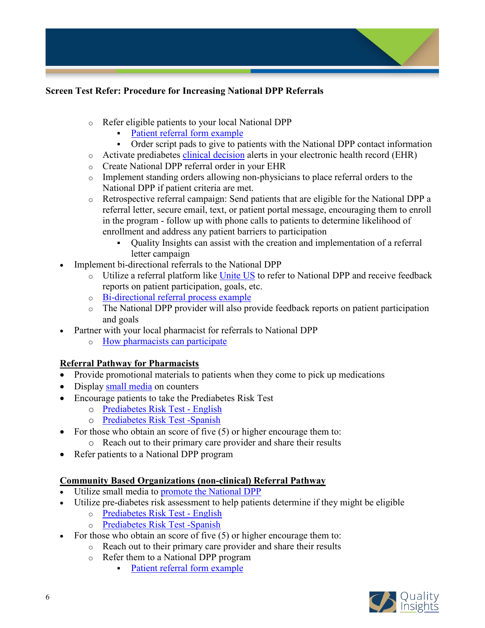

- o Refer eligible patients to your local National DPP
	- [Patient referral form example](https://nccdphp.my.salesforce.com/sfc/p/#t0000000TZNF/a/t0000000q1Ei/MbcJnizFxTc4xaTBalUzFkiDyCBYCtkveOZWRlk_cWE)
	- Order script pads to give to patients with the National DPP contact information
- o Activate prediabetes [clinical decision](https://improve.qualityinsights.org/Files/Projects/Cancer-Screening/Delaware-CDS-2-2020_508.aspx) alerts in your electronic health record (EHR)
- o Create National DPP referral order in your EHR
- $\circ$  Implement standing orders allowing non-physicians to place referral orders to the National DPP if patient criteria are met.
- o Retrospective referral campaign: Send patients that are eligible for the National DPP a referral letter, secure email, text, or patient portal message, encouraging them to enroll in the program - follow up with phone calls to patients to determine likelihood of enrollment and address any patient barriers to participation
	- Quality Insights can assist with the creation and implementation of a referral letter campaign
- Implement bi-directional referrals to the National DPP
	- o Utilize a referral platform like [Unite US](https://uniteus.com/) to refer to National DPP and receive feedback reports on patient participation, goals, etc.
	- o [Bi-directional referral process example](https://amapreventdiabetes.org/sites/default/files/uploaded-files/amapreventdiabetes_Bidirectional%20Feedback%20Loop.pdf)
	- o The National DPP provider will also provide feedback reports on patient participation and goals
- Partner with your local pharmacist for referrals to National DPP
	- o [How pharmacists can participate](https://www.cdc.gov/diabetes/prevention/pharmacists.html?CDC_AA_refVal=https%3A%2F%2Fwww.cdc.gov%2Fdiabetes%2Fprevention%2Flifestyle-program%2Fdeliverers%2Fpharmacists.html)

## **Referral Pathway for Pharmacists**

- Provide promotional materials to patients when they come to pick up medications
- Display [small media](https://improve.qualityinsights.org/CMSPages/GetFile.aspx?guid=77e487c6-fefa-453b-beca-2ff349e949a2) on counters
- Encourage patients to take the Prediabetes Risk Test
	- o [Prediabetes Risk Test -](https://www.cdc.gov/diabetes/prevention/pdf/Prediabetes-Risk-Test-Final.pdf) English
	- o [Prediabetes Risk Test -Spanish](https://www.cdc.gov/diabetes/spanish/prevention/pdfs/Prediabetes-Risk-Test-Spanish-Final-H.pdf)
- For those who obtain an score of five (5) or higher encourage them to: o Reach out to their primary care provider and share their results
- 
- Refer patients to a National DPP program

## **Community Based Organizations (non-clinical) Referral Pathway**

- Utilize small media to [promote the National DPP](https://www.cdc.gov/diabetes/prevention/pharmacist/tier1-promote-awareness.html)
- Utilize pre-diabetes risk assessment to help patients determine if they might be eligible
	- o [Prediabetes Risk Test -](https://www.cdc.gov/diabetes/prevention/pdf/Prediabetes-Risk-Test-Final.pdf) English
	- o [Prediabetes Risk Test -Spanish](https://www.cdc.gov/diabetes/spanish/prevention/pdfs/Prediabetes-Risk-Test-Spanish-Final-H.pdf)
- For those who obtain an score of five (5) or higher encourage them to:
	- o Reach out to their primary care provider and share their results
		- o Refer them to a National DPP program
			- [Patient referral form example](https://nccdphp.my.salesforce.com/sfc/p/#t0000000TZNF/a/t0000000q1Ei/MbcJnizFxTc4xaTBalUzFkiDyCBYCtkveOZWRlk_cWE)